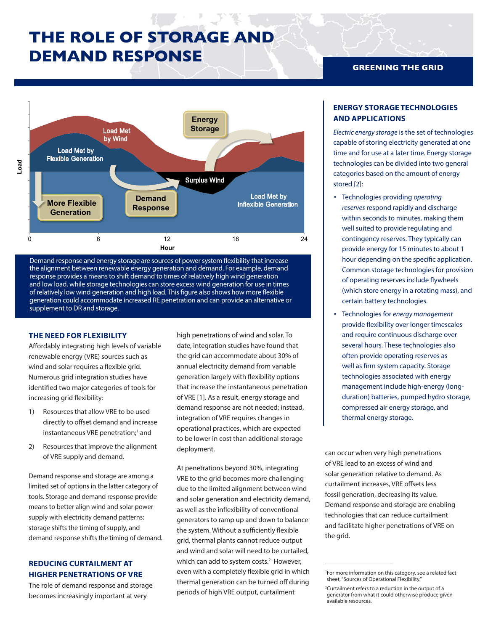# **THE ROLE OF STORAGE AND DEMAND RESPONSE**





## **THE NEED FOR FLEXIBILITY**

Affordably integrating high levels of variable renewable energy (VRE) sources such as wind and solar requires a flexible grid. Numerous grid integration studies have identified two major categories of tools for increasing grid flexibility:

- 1) Resources that allow VRE to be used directly to offset demand and increase instantaneous VRE penetration;<sup>1</sup> and
- 2) Resources that improve the alignment of VRE supply and demand.

Demand response and storage are among a limited set of options in the latter category of tools. Storage and demand response provide means to better align wind and solar power supply with electricity demand patterns: storage shifts the timing of supply, and demand response shifts the timing of demand.

# **REDUCING CURTAILMENT AT HIGHER PENETRATIONS OF VRE**

The role of demand response and storage becomes increasingly important at very

high penetrations of wind and solar. To date, integration studies have found that the grid can accommodate about 30% of annual electricity demand from variable generation largely with flexibility options that increase the instantaneous penetration of VRE [1]. As a result, energy storage and demand response are not needed; instead, integration of VRE requires changes in operational practices, which are expected to be lower in cost than additional storage deployment.

At penetrations beyond 30%, integrating VRE to the grid becomes more challenging due to the limited alignment between wind and solar generation and electricity demand, as well as the inflexibility of conventional generators to ramp up and down to balance the system. Without a sufficiently flexible grid, thermal plants cannot reduce output and wind and solar will need to be curtailed, which can add to system costs.<sup>2</sup> However, even with a completely flexible grid in which thermal generation can be turned off during periods of high VRE output, curtailment

## **GREENING THE GRID**

## **ENERGY STORAGE TECHNOLOGIES AND APPLICATIONS**

*Electric energy storage* is the set of technologies capable of storing electricity generated at one time and for use at a later time. Energy storage technologies can be divided into two general categories based on the amount of energy stored [2]:

- Technologies providing *operating reserves* respond rapidly and discharge within seconds to minutes, making them well suited to provide regulating and contingency reserves. They typically can provide energy for 15 minutes to about 1 hour depending on the specific application. Common storage technologies for provision of operating reserves include flywheels (which store energy in a rotating mass), and certain battery technologies.
- Technologies for *energy management*  provide flexibility over longer timescales and require continuous discharge over several hours. These technologies also often provide operating reserves as well as firm system capacity. Storage technologies associated with energy management include high-energy (longduration) batteries, pumped hydro storage, compressed air energy storage, and thermal energy storage.

can occur when very high penetrations of VRE lead to an excess of wind and solar generation relative to demand. As curtailment increases, VRE offsets less fossil generation, decreasing its value. Demand response and storage are enabling technologies that can reduce curtailment and facilitate higher penetrations of VRE on the grid.

 $\overline{\phantom{a}}$  , where  $\overline{\phantom{a}}$  , where  $\overline{\phantom{a}}$  , where  $\overline{\phantom{a}}$ 

<sup>1</sup> For more information on this category, see a related fact sheet, "Sources of Operational Flexibility."

<sup>2</sup> Curtailment refers to a reduction in the output of a generator from what it could otherwise produce given available resources.